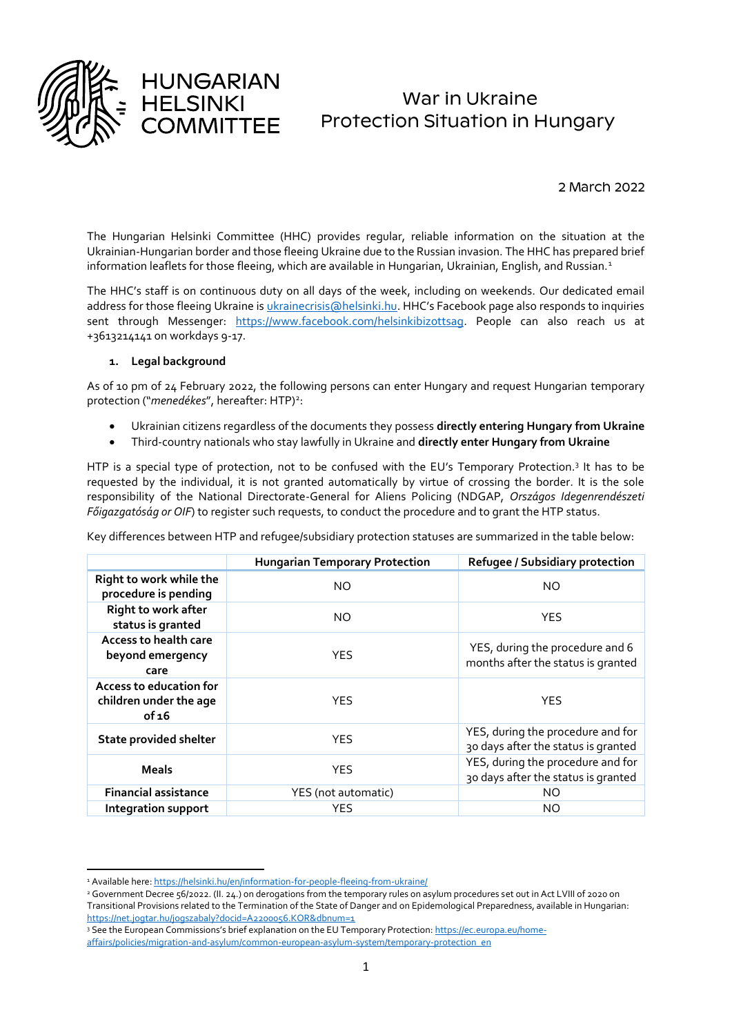

1

# War in Ukraine Protection Situation in Hungary

2 March 2022

The Hungarian Helsinki Committee (HHC) provides regular, reliable information on the situation at the Ukrainian-Hungarian border and those fleeing Ukraine due to the Russian invasion. The HHC has prepared brief information leaflets for those fleeing, which are available in Hungarian, Ukrainian, English, and Russian.<sup>1</sup>

The HHC's staff is on continuous duty on all days of the week, including on weekends. Our dedicated email address for those fleeing Ukraine is [ukrainecrisis@helsinki.hu.](mailto:ukrainecrisis@helsinki.hu) HHC's Facebook page also responds to inquiries sent through Messenger: [https://www.facebook.com/helsinkibizottsag.](https://www.facebook.com/helsinkibizottsag) People can also reach us at +3613214141 on workdays 9-17.

## **1. Legal background**

**HUNGARIAN** 

**HELSINKI** 

As of 10 pm of 24 February 2022, the following persons can enter Hungary and request Hungarian temporary protection ("menedékes", hereafter: HTP)<sup>2</sup>:

- Ukrainian citizens regardless of the documents they possess **directly entering Hungary from Ukraine**
- Third-country nationals who stay lawfully in Ukraine and **directly enter Hungary from Ukraine**

HTP is a special type of protection, not to be confused with the EU's Temporary Protection.<sup>3</sup> It has to be requested by the individual, it is not granted automatically by virtue of crossing the border. It is the sole responsibility of the National Directorate-General for Aliens Policing (NDGAP, *Országos Idegenrendészeti Főigazgatóság or OIF*) to register such requests, to conduct the procedure and to grant the HTP status.

Key differences between HTP and refugee/subsidiary protection statuses are summarized in the table below:

|                                                            | <b>Hungarian Temporary Protection</b> | Refugee / Subsidiary protection                                          |  |
|------------------------------------------------------------|---------------------------------------|--------------------------------------------------------------------------|--|
| Right to work while the<br>procedure is pending            | NO.                                   | NO.                                                                      |  |
| Right to work after<br>status is granted                   | NO.                                   | <b>YES</b>                                                               |  |
| Access to health care<br>beyond emergency<br>care          | <b>YES</b>                            | YES, during the procedure and 6<br>months after the status is granted    |  |
| Access to education for<br>children under the age<br>of 16 | <b>YES</b>                            | <b>YES</b>                                                               |  |
| <b>State provided shelter</b>                              | <b>YES</b>                            | YES, during the procedure and for<br>30 days after the status is granted |  |
| <b>Meals</b>                                               | <b>YES</b>                            | YES, during the procedure and for<br>30 days after the status is granted |  |
| <b>Financial assistance</b>                                | YES (not automatic)                   | NO.                                                                      |  |
| <b>Integration support</b>                                 | <b>YES</b>                            | NO                                                                       |  |

<sup>3</sup> See the European Commissions's brief explanation on the EU Temporary Protection[: https://ec.europa.eu/home-](https://ec.europa.eu/home-affairs/policies/migration-and-asylum/common-european-asylum-system/temporary-protection_en)

<sup>&</sup>lt;sup>1</sup> Available here[: https://helsinki.hu/en/information-for-people-fleeing-from-ukraine/](https://helsinki.hu/en/information-for-people-fleeing-from-ukraine/)

<sup>&</sup>lt;sup>2</sup> Government Decree 56/2022. (II. 24.) on derogations from the temporary rules on asylum procedures set out in Act LVIII of 2020 on Transitional Provisions related to the Termination of the State of Danger and on Epidemological Preparedness, available in Hungarian: <https://net.jogtar.hu/jogszabaly?docid=A2200056.KOR&dbnum=1>

[affairs/policies/migration-and-asylum/common-european-asylum-system/temporary-protection\\_en](https://ec.europa.eu/home-affairs/policies/migration-and-asylum/common-european-asylum-system/temporary-protection_en)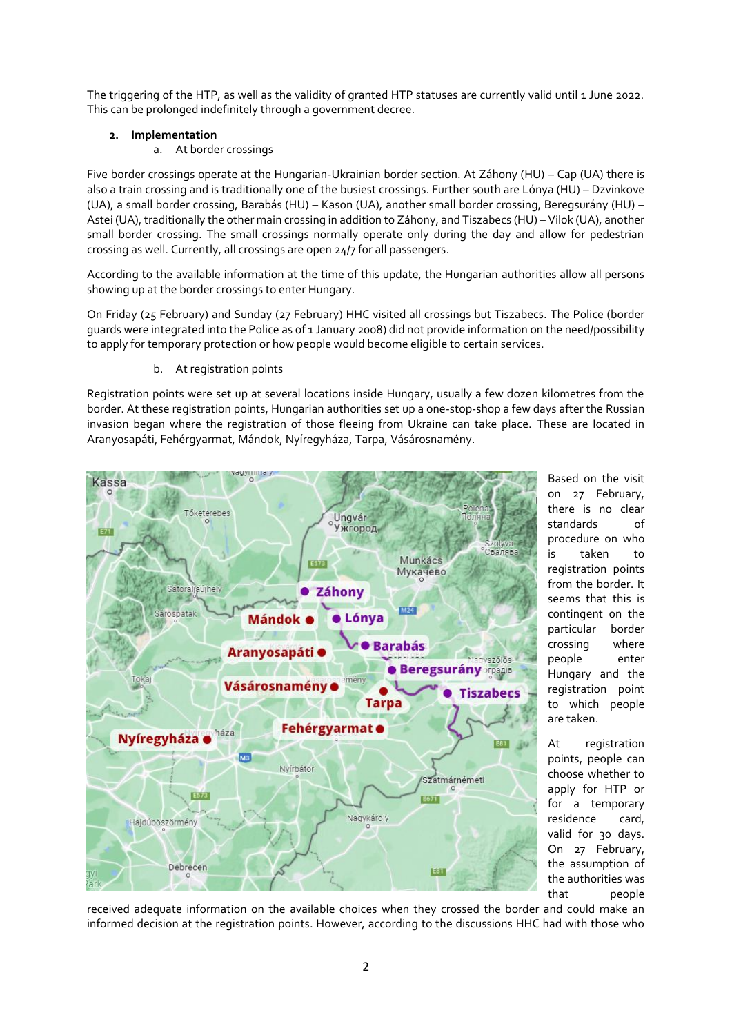The triggering of the HTP, as well as the validity of granted HTP statuses are currently valid until 1 June 2022. This can be prolonged indefinitely through a government decree.

## **2. Implementation**

a. At border crossings

Five border crossings operate at the Hungarian-Ukrainian border section. At Záhony (HU) – Cap (UA) there is also a train crossing and is traditionally one of the busiest crossings. Further south are Lónya (HU) – Dzvinkove (UA), a small border crossing, Barabás (HU) – Kason (UA), another small border crossing, Beregsurány (HU) – Astei (UA), traditionally the other main crossing in addition to Záhony, and Tiszabecs (HU) – Vilok (UA), another small border crossing. The small crossings normally operate only during the day and allow for pedestrian crossing as well. Currently, all crossings are open 24/7 for all passengers.

According to the available information at the time of this update, the Hungarian authorities allow all persons showing up at the border crossings to enter Hungary.

On Friday (25 February) and Sunday (27 February) HHC visited all crossings but Tiszabecs. The Police (border guards were integrated into the Police as of 1 January 2008) did not provide information on the need/possibility to apply for temporary protection or how people would become eligible to certain services.

b. At registration points

Registration points were set up at several locations inside Hungary, usually a few dozen kilometres from the border. At these registration points, Hungarian authorities set up a one-stop-shop a few days after the Russian invasion began where the registration of those fleeing from Ukraine can take place. These are located in Aranyosapáti, Fehérgyarmat, Mándok, Nyíregyháza, Tarpa, Vásárosnamény.



Based on the visit on 27 February, there is no clear standards of procedure on who is taken to registration points from the border. It seems that this is contingent on the particular border crossing where people enter Hungary and the registration point to which people are taken.

At registration points, people can choose whether to apply for HTP or for a temporary residence card, valid for 30 days. On 27 February, the assumption of the authorities was that people

received adequate information on the available choices when they crossed the border and could make an informed decision at the registration points. However, according to the discussions HHC had with those who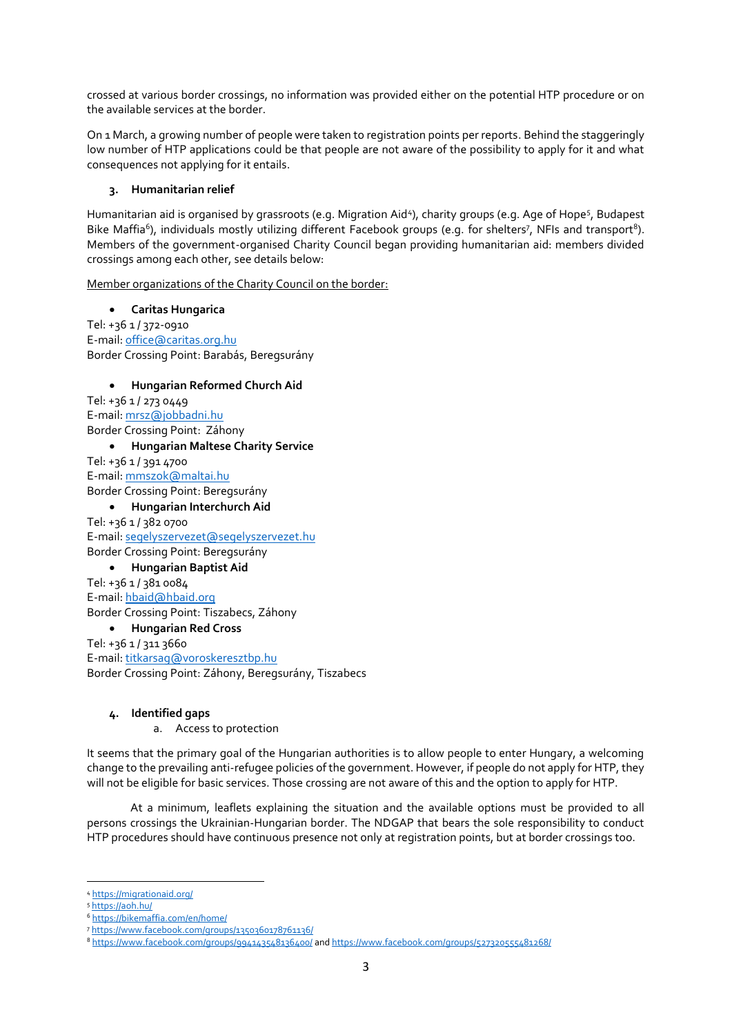crossed at various border crossings, no information was provided either on the potential HTP procedure or on the available services at the border.

On 1 March, a growing number of people were taken to registration points per reports. Behind the staggeringly low number of HTP applications could be that people are not aware of the possibility to apply for it and what consequences not applying for it entails.

## **3. Humanitarian relief**

Humanitarian aid is organised by grassroots (e.g. Migration Aid<sup>4</sup>), charity groups (e.g. Age of Hope<sup>5</sup>, Budapest Bike Maffia<sup>6</sup>), individuals mostly utilizing different Facebook groups (e.g. for shelters<sup>7</sup>, NFIs and transport<sup>8</sup>). Members of the government-organised Charity Council began providing humanitarian aid: members divided crossings among each other, see details below:

Member organizations of the Charity Council on the border:

 **Caritas Hungarica** Tel: +36 1 / 372-0910 E-mail[: office@caritas.org.hu](mailto:office@caritas.org.hu) Border Crossing Point: Barabás, Beregsurány

### **Hungarian Reformed Church Aid**

Tel: +36 1 / 273 0449 E-mail[: mrsz@jobbadni.hu](mailto:mrsz@jobbadni.hu) Border Crossing Point: Záhony **Hungarian Maltese Charity Service** Tel: +36 1 / 391 4700 E-mail[: mmszok@maltai.hu](mailto:mmszok@maltai.hu) Border Crossing Point: Beregsurány

 **Hungarian Interchurch Aid** Tel: +36 1 / 382 0700 E-mail[: segelyszervezet@segelyszervezet.hu](mailto:segelyszervezet@segelyszervezet.hu)

# Border Crossing Point: Beregsurány

**Hungarian Baptist Aid**

Tel: +36 1 / 381 0084 E-mail[: hbaid@hbaid.org](mailto:hbaid@hbaid.org) Border Crossing Point: Tiszabecs, Záhony

# **Hungarian Red Cross**

Tel: +36 1 / 311 3660 E-mail[: titkarsag@voroskeresztbp.hu](mailto:titkarsag@voroskeresztbp.hu) Border Crossing Point: Záhony, Beregsurány, Tiszabecs

#### **4. Identified gaps**

a. Access to protection

It seems that the primary goal of the Hungarian authorities is to allow people to enter Hungary, a welcoming change to the prevailing anti-refugee policies of the government. However, if people do not apply for HTP, they will not be eligible for basic services. Those crossing are not aware of this and the option to apply for HTP.

At a minimum, leaflets explaining the situation and the available options must be provided to all persons crossings the Ukrainian-Hungarian border. The NDGAP that bears the sole responsibility to conduct HTP procedures should have continuous presence not only at registration points, but at border crossings too.

**.** 

<sup>4</sup> <https://migrationaid.org/>

<sup>5</sup> <https://aoh.hu/>

<sup>6</sup> <https://bikemaffia.com/en/home/>

<sup>7</sup> [https://www.facebook.com/groups/1350360178761136/](https://www.facebook.com/groups/1350360178761136/?__cft__%5b0%5d=AZXVLNSFnnyxjConAYnfKbXoc5UNBzs-m9kUQwsgHnJz5L3_Yhj6p__rMZ-YIZk64oOUft285kBfDPkVP4M7xIpFh-hf6cosANKCzB5kHs54nLEi96RiEmcJ57VPoaxp-SGxSih-YEhTUa-eJ9ohKpnB&__tn__=-UK-R)

<sup>8</sup> [https://www.facebook.com/groups/994143548136400/](https://www.facebook.com/groups/994143548136400/?%20-hf6cosANKCzB5kHs54nLEi96RiEmcJ57VPoaxp-SGxSih-YEhTUa-eJ9ohKpnB&__tn__=-UK-R) an[d https://www.facebook.com/groups/527320555481268/](https://www.facebook.com/groups/527320555481268/)